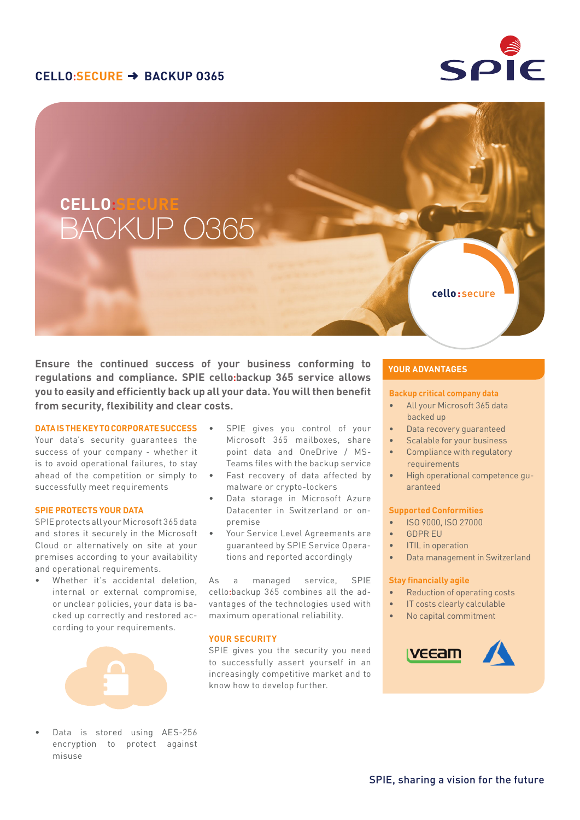## **CELLO:SECURE BACKUP O365**



# BACKUP O365 **CELLO:SECURE**

**Ensure the continued success of your business conforming to regulations and compliance. SPIE cello:backup 365 service allows you to easily and efficiently back up all your data. You will then benefit from security, flexibility and clear costs.** 

### **DATA IS THE KEY TO CORPORATE SUCCESS**

Your data's security guarantees the success of your company - whether it is to avoid operational failures, to stay ahead of the competition or simply to successfully meet requirements

#### **SPIE PROTECTS YOUR DATA**

SPIE protects all your Microsoft 365 data and stores it securely in the Microsoft Cloud or alternatively on site at your premises according to your availability and operational requirements.

Whether it's accidental deletion, internal or external compromise, or unclear policies, your data is backed up correctly and restored according to your requirements.



Data is stored using AES-256 encryption to protect against misuse

- SPIE gives you control of your Microsoft 365 mailboxes, share point data and OneDrive / MS-Teams files with the backup service
- Fast recovery of data affected by malware or crypto-lockers
- Data storage in Microsoft Azure Datacenter in Switzerland or onpremise
- Your Service Level Agreements are guaranteed by SPIE Service Operations and reported accordingly

As a managed service, SPIE cello**:**backup 365 combines all the advantages of the technologies used with maximum operational reliability.

### **YOUR SECURITY**

SPIE gives you the security you need to successfully assert yourself in an increasingly competitive market and to know how to develop further.

## **YOUR ADVANTAGES**

#### **Backup critical company data**

• All your Microsoft 365 data backed up

cello: secure

- Data recovery guaranteed
- Scalable for your business
- Compliance with regulatory requirements
- High operational competence guaranteed

#### **Supported Conformities**

- ISO 9000, ISO 27000
- GDPR EU
- ITIL in operation
- Data management in Switzerland

#### **Stay financially agile**

- Reduction of operating costs
- IT costs clearly calculable
- No capital commitment